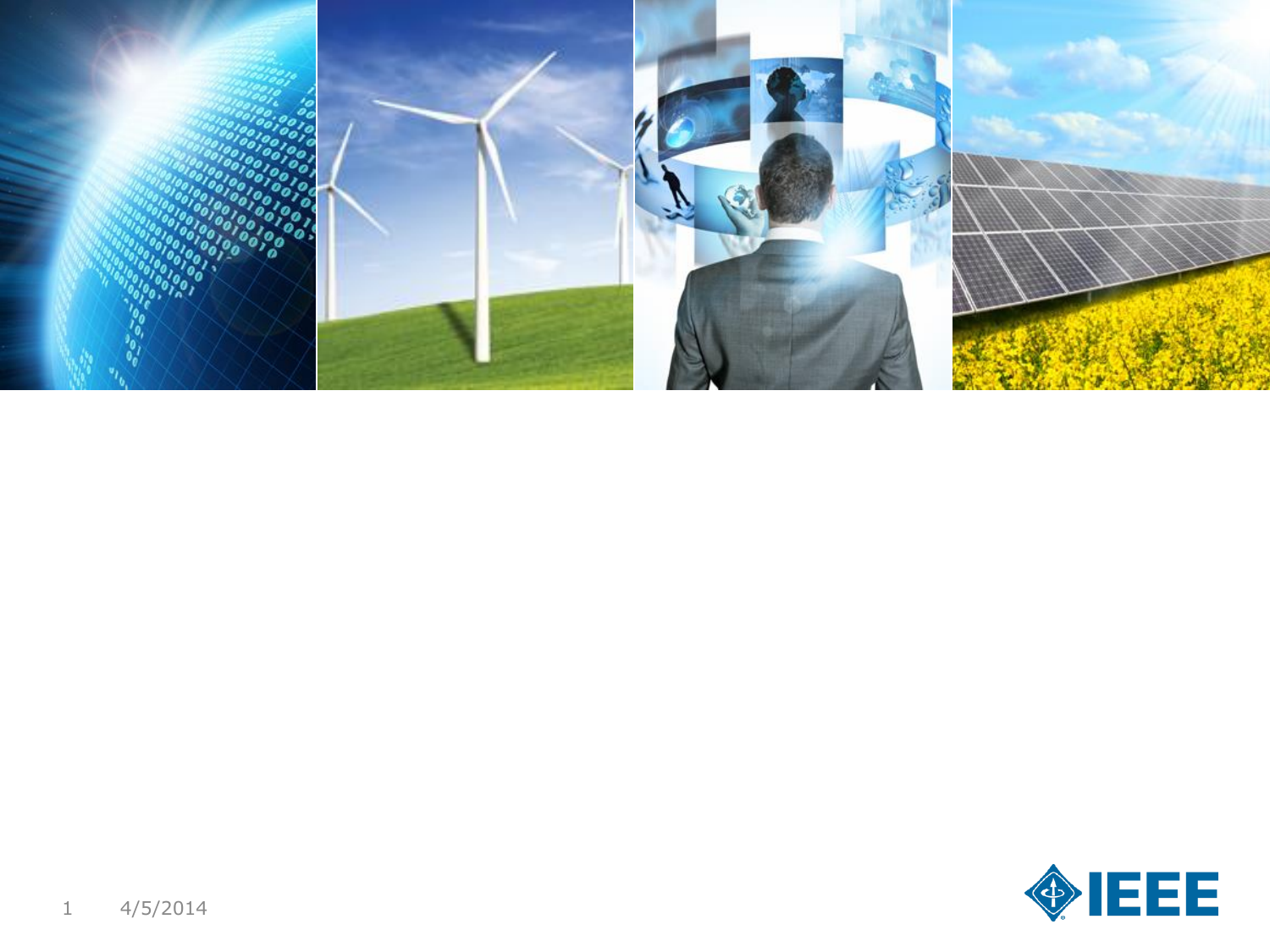

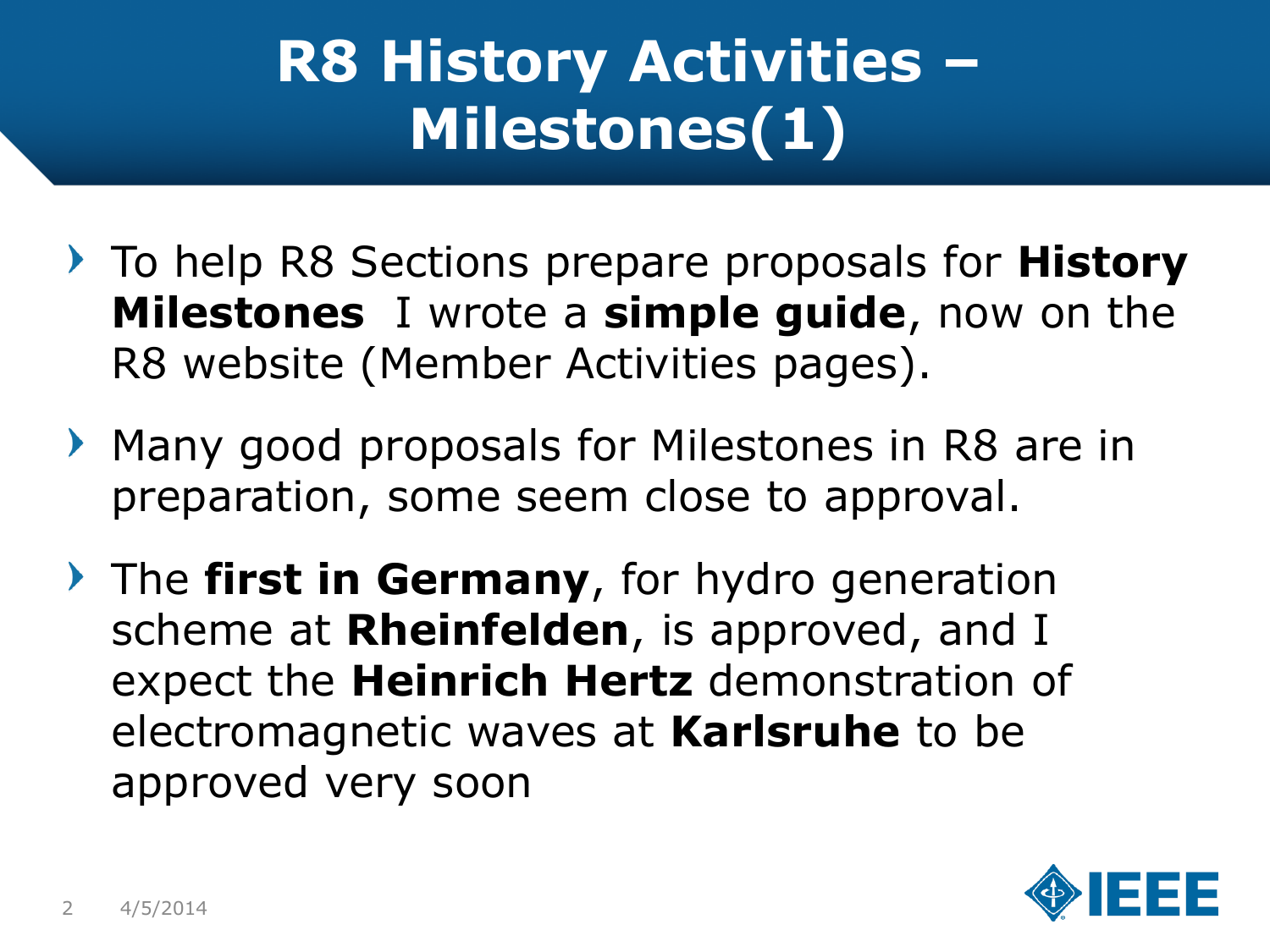## **R8 History Activities – Milestones(1)**

- To help R8 Sections prepare proposals for **History Milestones** I wrote a **simple guide**, now on the R8 website (Member Activities pages).
- Many good proposals for Milestones in R8 are in preparation, some seem close to approval.
- The **first in Germany**, for hydro generation scheme at **Rheinfelden**, is approved, and I expect the **Heinrich Hertz** demonstration of electromagnetic waves at **Karlsruhe** to be approved very soon

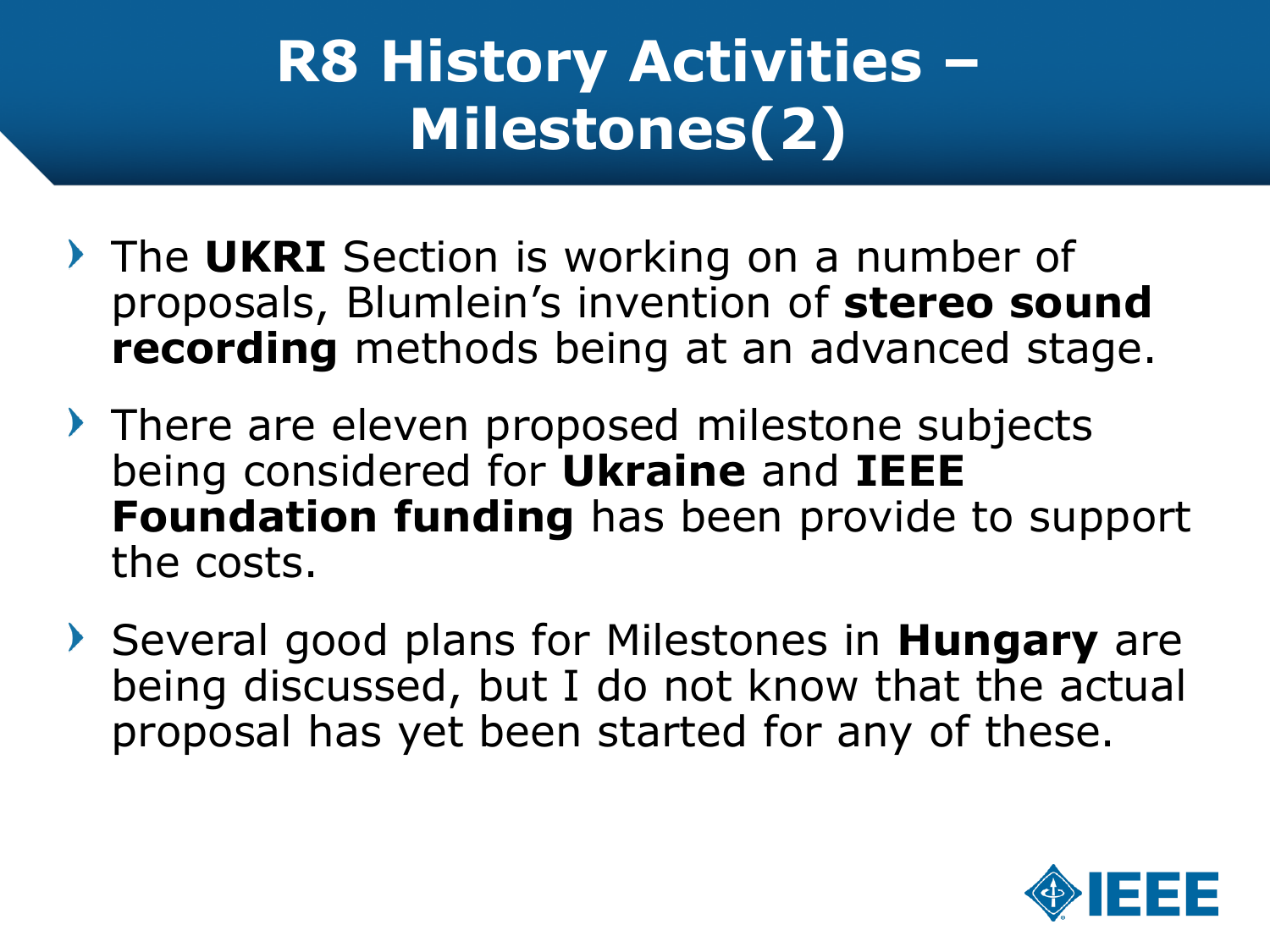## **R8 History Activities – Milestones(2)**

- The **UKRI** Section is working on a number of proposals, Blumlein's invention of **stereo sound recording** methods being at an advanced stage.
- There are eleven proposed milestone subjects being considered for **Ukraine** and **IEEE Foundation funding** has been provide to support the costs.
- Several good plans for Milestones in **Hungary** are being discussed, but I do not know that the actual proposal has yet been started for any of these.

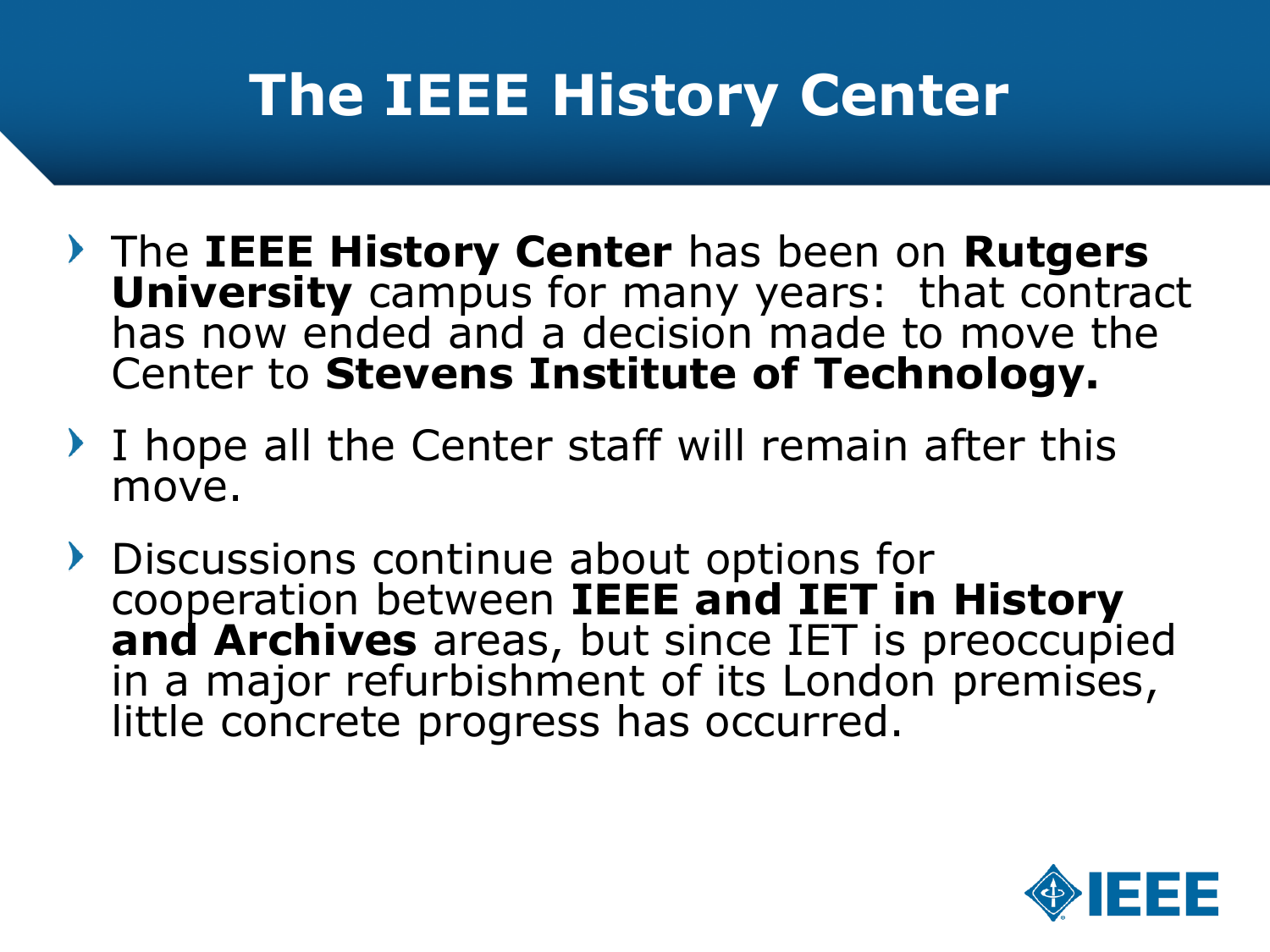## **The IEEE History Center**

- The **IEEE History Center** has been on **Rutgers University** campus for many years: that contract has now ended and a decision made to move the Center to **Stevens Institute of Technology.**
- $\triangleright$  I hope all the Center staff will remain after this move.
- **Discussions continue about options for** cooperation between **IEEE and IET in History and Archives** areas, but since IET is preoccupied in a major refurbishment of its London premises, little concrete progress has occurred.

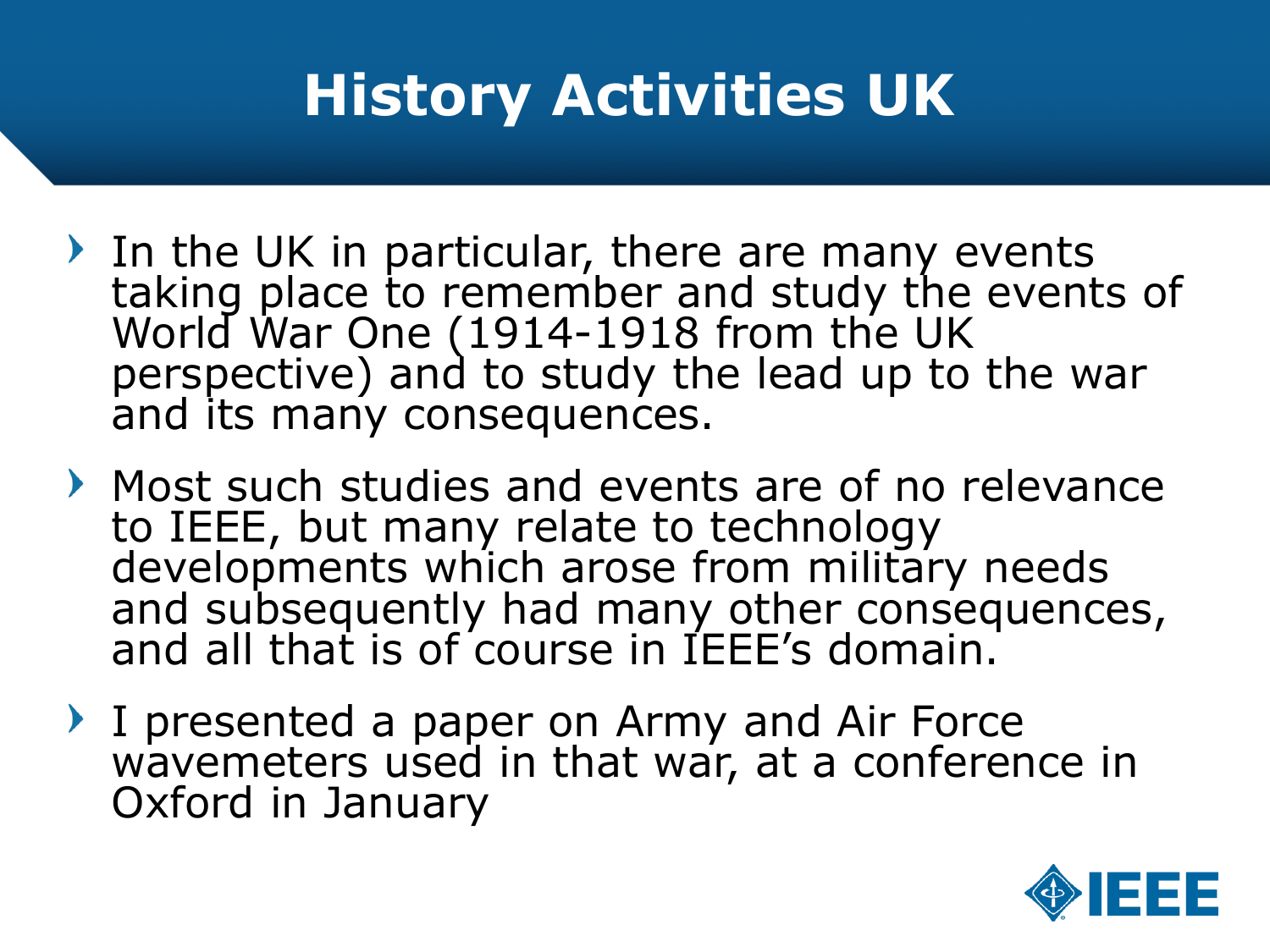# **History Activities UK**

- In the UK in particular, there are many events taking place to remember and study the events of World War One (1914-1918 from the UK perspective) and to study the lead up to the war and its many consequences.
- **Most such studies and events are of no relevance** to IEEE, but many relate to technology developments which arose from military needs and subsequently had many other consequences, and all that is of course in IEEE's domain.
- I presented a paper on Army and Air Force wavemeters used in that war, at a conference in Oxford in January